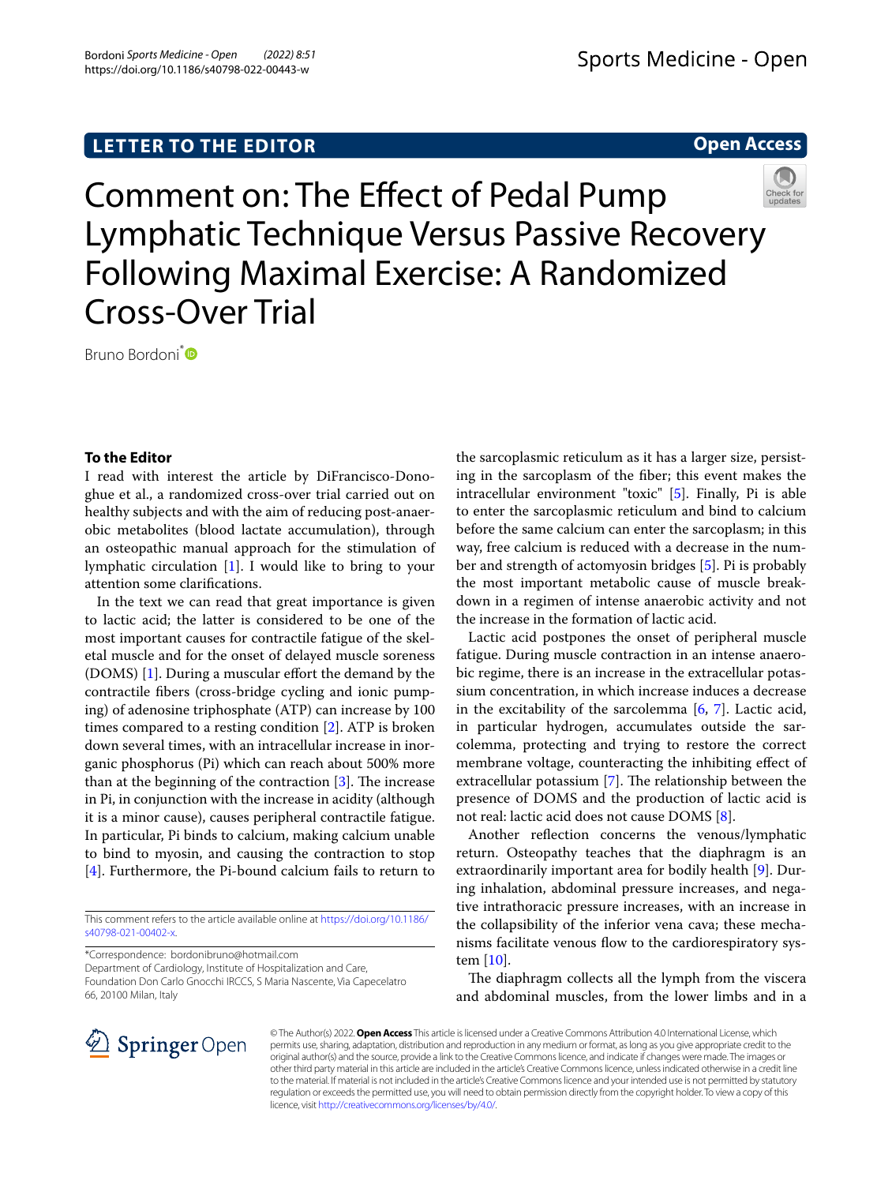# **LETTER TO THE EDITOR**

**Open Access**



Comment on: The Efect of Pedal Pump Lymphatic Technique Versus Passive Recovery Following Maximal Exercise: A Randomized Cross-Over Trial

Bruno Bordoni<sup>[\\*](http://orcid.org/0000-0002-4949-5126)</sup><sup>D</sup>

# **To the Editor**

I read with interest the article by DiFrancisco-Donoghue et al., a randomized cross-over trial carried out on healthy subjects and with the aim of reducing post-anaerobic metabolites (blood lactate accumulation), through an osteopathic manual approach for the stimulation of lymphatic circulation [\[1](#page-1-0)]. I would like to bring to your attention some clarifcations.

In the text we can read that great importance is given to lactic acid; the latter is considered to be one of the most important causes for contractile fatigue of the skeletal muscle and for the onset of delayed muscle soreness (DOMS) [[1\]](#page-1-0). During a muscular effort the demand by the contractile fbers (cross-bridge cycling and ionic pumping) of adenosine triphosphate (ATP) can increase by 100 times compared to a resting condition [[2\]](#page-1-1). ATP is broken down several times, with an intracellular increase in inorganic phosphorus (Pi) which can reach about 500% more than at the beginning of the contraction  $[3]$  $[3]$ . The increase in Pi, in conjunction with the increase in acidity (although it is a minor cause), causes peripheral contractile fatigue. In particular, Pi binds to calcium, making calcium unable to bind to myosin, and causing the contraction to stop [[4\]](#page-1-3). Furthermore, the Pi-bound calcium fails to return to

This comment refers to the article available online at [https://doi.org/10.1186/](https://doi.org/10.1186/s40798-021-00402-x) [s40798-021-00402-x.](https://doi.org/10.1186/s40798-021-00402-x)

\*Correspondence: bordonibruno@hotmail.com

Department of Cardiology, Institute of Hospitalization and Care, Foundation Don Carlo Gnocchi IRCCS, S Maria Nascente, Via Capecelatro 66, 20100 Milan, Italy

the sarcoplasmic reticulum as it has a larger size, persisting in the sarcoplasm of the fber; this event makes the intracellular environment "toxic" [\[5\]](#page-1-4). Finally, Pi is able to enter the sarcoplasmic reticulum and bind to calcium before the same calcium can enter the sarcoplasm; in this way, free calcium is reduced with a decrease in the number and strength of actomyosin bridges [\[5](#page-1-4)]. Pi is probably the most important metabolic cause of muscle breakdown in a regimen of intense anaerobic activity and not the increase in the formation of lactic acid.

Lactic acid postpones the onset of peripheral muscle fatigue. During muscle contraction in an intense anaerobic regime, there is an increase in the extracellular potassium concentration, in which increase induces a decrease in the excitability of the sarcolemma [\[6,](#page-1-5) [7\]](#page-1-6). Lactic acid, in particular hydrogen, accumulates outside the sarcolemma, protecting and trying to restore the correct membrane voltage, counteracting the inhibiting efect of extracellular potassium  $[7]$ . The relationship between the presence of DOMS and the production of lactic acid is not real: lactic acid does not cause DOMS [\[8\]](#page-1-7).

Another refection concerns the venous/lymphatic return. Osteopathy teaches that the diaphragm is an extraordinarily important area for bodily health [[9\]](#page-1-8). During inhalation, abdominal pressure increases, and negative intrathoracic pressure increases, with an increase in the collapsibility of the inferior vena cava; these mechanisms facilitate venous flow to the cardiorespiratory system [\[10\]](#page-1-9).

The diaphragm collects all the lymph from the viscera and abdominal muscles, from the lower limbs and in a



© The Author(s) 2022. **Open Access** This article is licensed under a Creative Commons Attribution 4.0 International License, which permits use, sharing, adaptation, distribution and reproduction in any medium or format, as long as you give appropriate credit to the original author(s) and the source, provide a link to the Creative Commons licence, and indicate if changes were made. The images or other third party material in this article are included in the article's Creative Commons licence, unless indicated otherwise in a credit line to the material. If material is not included in the article's Creative Commons licence and your intended use is not permitted by statutory regulation or exceeds the permitted use, you will need to obtain permission directly from the copyright holder. To view a copy of this licence, visit [http://creativecommons.org/licenses/by/4.0/.](http://creativecommons.org/licenses/by/4.0/)